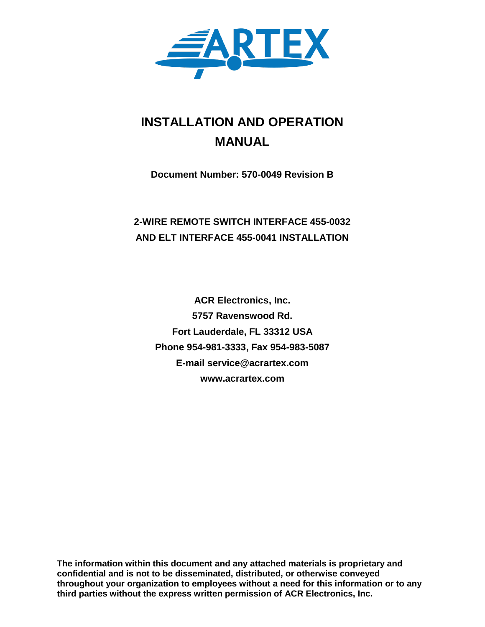

# **INSTALLATION AND OPERATION MANUAL**

**Document Number: 570-0049 Revision B**

## **2-WIRE REMOTE SWITCH INTERFACE 455-0032 AND ELT INTERFACE 455-0041 INSTALLATION**

**ACR Electronics, Inc. 5757 Ravenswood Rd. Fort Lauderdale, FL 33312 USA Phone 954-981-3333, Fax 954-983-5087 E-mail service@acrartex.com www.acrartex.com**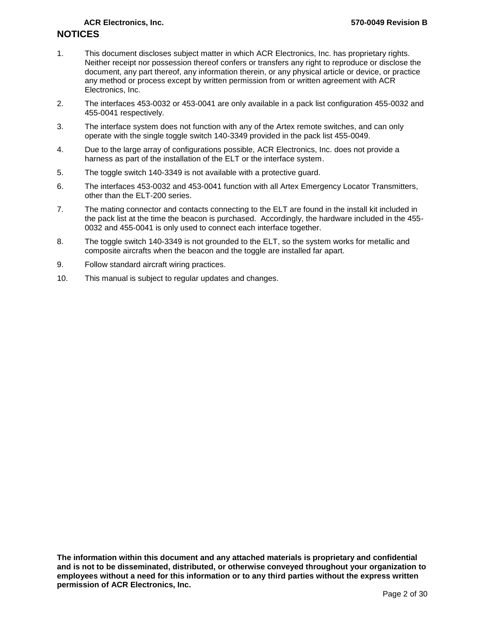- 1. This document discloses subject matter in which ACR Electronics, Inc. has proprietary rights. Neither receipt nor possession thereof confers or transfers any right to reproduce or disclose the document, any part thereof, any information therein, or any physical article or device, or practice any method or process except by written permission from or written agreement with ACR Electronics, Inc.
- 2. The interfaces 453-0032 or 453-0041 are only available in a pack list configuration 455-0032 and 455-0041 respectively.
- 3. The interface system does not function with any of the Artex remote switches, and can only operate with the single toggle switch 140-3349 provided in the pack list 455-0049.
- 4. Due to the large array of configurations possible, ACR Electronics, Inc. does not provide a harness as part of the installation of the ELT or the interface system.
- 5. The toggle switch 140-3349 is not available with a protective guard.
- 6. The interfaces 453-0032 and 453-0041 function with all Artex Emergency Locator Transmitters, other than the ELT-200 series.
- 7. The mating connector and contacts connecting to the ELT are found in the install kit included in the pack list at the time the beacon is purchased. Accordingly, the hardware included in the 455- 0032 and 455-0041 is only used to connect each interface together.
- 8. The toggle switch 140-3349 is not grounded to the ELT, so the system works for metallic and composite aircrafts when the beacon and the toggle are installed far apart.
- 9. Follow standard aircraft wiring practices.
- 10. This manual is subject to regular updates and changes.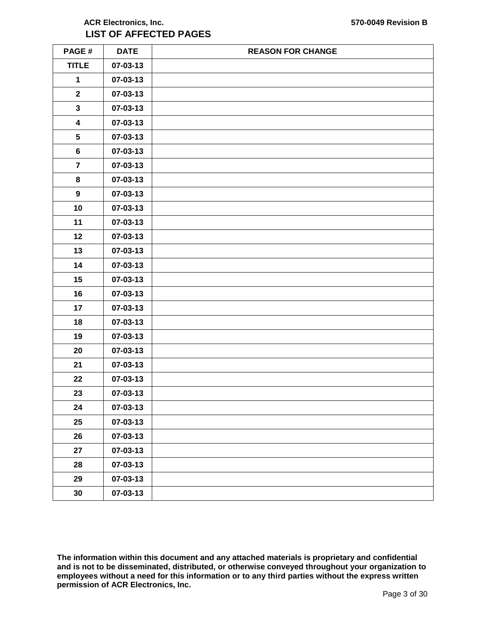## **ACR Electronics, Inc. 570-0049 Revision B LIST OF AFFECTED PAGES**

| PAGE#                   | <b>DATE</b> | <b>REASON FOR CHANGE</b> |
|-------------------------|-------------|--------------------------|
| <b>TITLE</b>            | 07-03-13    |                          |
| $\mathbf{1}$            | 07-03-13    |                          |
| $\mathbf 2$             | 07-03-13    |                          |
| $\mathbf{3}$            | 07-03-13    |                          |
| $\overline{\mathbf{4}}$ | 07-03-13    |                          |
| 5                       | 07-03-13    |                          |
| $\bf 6$                 | 07-03-13    |                          |
| $\overline{\mathbf{r}}$ | 07-03-13    |                          |
| 8                       | 07-03-13    |                          |
| $\boldsymbol{9}$        | 07-03-13    |                          |
| 10                      | 07-03-13    |                          |
| 11                      | 07-03-13    |                          |
| 12                      | 07-03-13    |                          |
| 13                      | 07-03-13    |                          |
| 14                      | 07-03-13    |                          |
| 15                      | 07-03-13    |                          |
| 16                      | 07-03-13    |                          |
| 17                      | 07-03-13    |                          |
| 18                      | 07-03-13    |                          |
| 19                      | 07-03-13    |                          |
| 20                      | 07-03-13    |                          |
| 21                      | 07-03-13    |                          |
| 22                      | 07-03-13    |                          |
| 23                      | 07-03-13    |                          |
| 24                      | 07-03-13    |                          |
| 25                      | 07-03-13    |                          |
| 26                      | 07-03-13    |                          |
| 27                      | 07-03-13    |                          |
| 28                      | 07-03-13    |                          |
| 29                      | 07-03-13    |                          |
| 30                      | 07-03-13    |                          |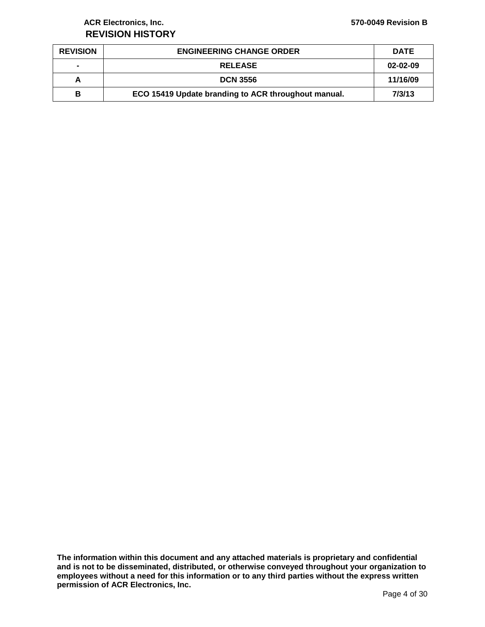## **ACR Electronics, Inc. 570-0049 Revision B REVISION HISTORY**

| <b>REVISION</b> | <b>ENGINEERING CHANGE ORDER</b>                     | <b>DATE</b> |
|-----------------|-----------------------------------------------------|-------------|
| $\blacksquare$  | <b>RELEASE</b>                                      | 02-02-09    |
| А               | <b>DCN 3556</b>                                     | 11/16/09    |
| в               | ECO 15419 Update branding to ACR throughout manual. | 7/3/13      |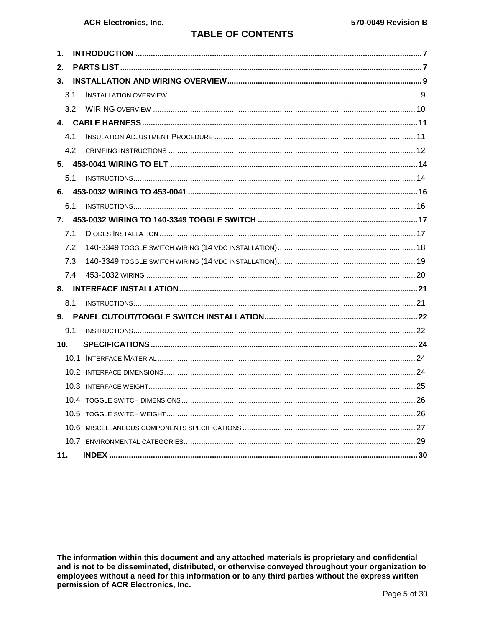## **TABLE OF CONTENTS**

| 1.              |  |  |  |  |
|-----------------|--|--|--|--|
| 2.              |  |  |  |  |
| 3 <sub>1</sub>  |  |  |  |  |
| 3.1             |  |  |  |  |
| 3.2             |  |  |  |  |
|                 |  |  |  |  |
| 4.1             |  |  |  |  |
| 4.2             |  |  |  |  |
|                 |  |  |  |  |
| 5.1             |  |  |  |  |
|                 |  |  |  |  |
| 6.1             |  |  |  |  |
|                 |  |  |  |  |
| 7.1             |  |  |  |  |
| 7.2             |  |  |  |  |
| 7.3             |  |  |  |  |
| 7.4             |  |  |  |  |
|                 |  |  |  |  |
| 8.1             |  |  |  |  |
|                 |  |  |  |  |
| 9.1             |  |  |  |  |
| 10 <sub>1</sub> |  |  |  |  |
|                 |  |  |  |  |
|                 |  |  |  |  |
|                 |  |  |  |  |
|                 |  |  |  |  |
|                 |  |  |  |  |
|                 |  |  |  |  |
|                 |  |  |  |  |
| 11.             |  |  |  |  |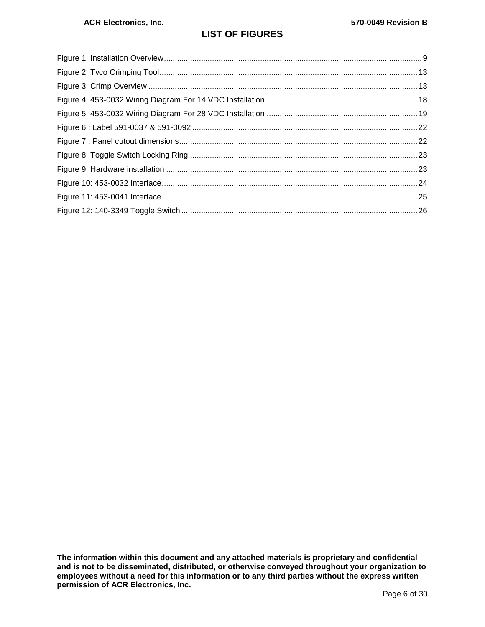## **LIST OF FIGURES**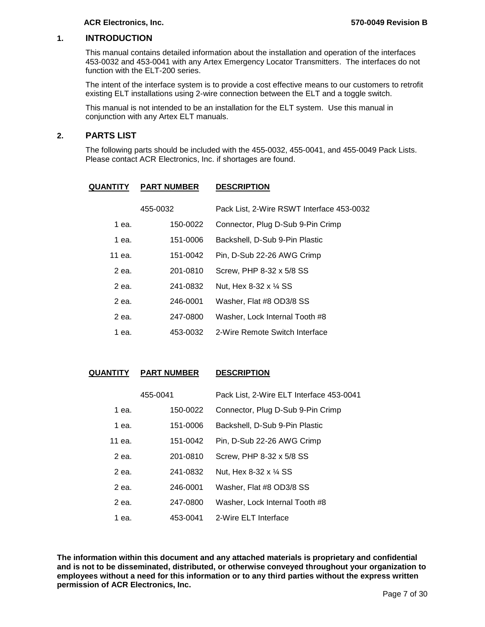#### <span id="page-6-0"></span>**1. INTRODUCTION**

This manual contains detailed information about the installation and operation of the interfaces 453-0032 and 453-0041 with any Artex Emergency Locator Transmitters. The interfaces do not function with the ELT-200 series.

The intent of the interface system is to provide a cost effective means to our customers to retrofit existing ELT installations using 2-wire connection between the ELT and a toggle switch.

This manual is not intended to be an installation for the ELT system. Use this manual in conjunction with any Artex ELT manuals.

#### <span id="page-6-1"></span>**2. PARTS LIST**

The following parts should be included with the 455-0032, 455-0041, and 455-0049 Pack Lists. Please contact ACR Electronics, Inc. if shortages are found.

| <b>QUANTITY</b> | <b>PART NUMBER</b> | <b>DESCRIPTION</b>                        |
|-----------------|--------------------|-------------------------------------------|
|                 | 455-0032           | Pack List, 2-Wire RSWT Interface 453-0032 |
| 1 ea.           | 150-0022           | Connector, Plug D-Sub 9-Pin Crimp         |
| 1 ea.           | 151-0006           | Backshell, D-Sub 9-Pin Plastic            |
| 11 ea.          | 151-0042           | Pin, D-Sub 22-26 AWG Crimp                |
| 2 ea.           | 201-0810           | Screw, PHP 8-32 x 5/8 SS                  |
| 2 ea.           | 241-0832           | Nut, Hex 8-32 x 1/4 SS                    |
| 2 ea.           | 246-0001           | Washer, Flat #8 OD3/8 SS                  |
| 2 еа.           | 247-0800           | Washer, Lock Internal Tooth #8            |
| 1 ea.           | 453-0032           | 2-Wire Remote Switch Interface            |

**QUANTITY PART NUMBER DESCRIPTION**

|        | 455-0041 | Pack List, 2-Wire ELT Interface 453-0041 |
|--------|----------|------------------------------------------|
| 1 ea.  | 150-0022 | Connector, Plug D-Sub 9-Pin Crimp        |
| 1 ea.  | 151-0006 | Backshell, D-Sub 9-Pin Plastic           |
| 11 ea. | 151-0042 | Pin, D-Sub 22-26 AWG Crimp               |
| 2 ea.  | 201-0810 | Screw, PHP 8-32 x 5/8 SS                 |
| 2 еа.  | 241-0832 | Nut, Hex 8-32 x 1/4 SS                   |
| 2 ea.  | 246-0001 | Washer, Flat #8 OD3/8 SS                 |
| 2 еа.  | 247-0800 | Washer, Lock Internal Tooth #8           |
| 1 ea.  | 453-0041 | 2-Wire ELT Interface                     |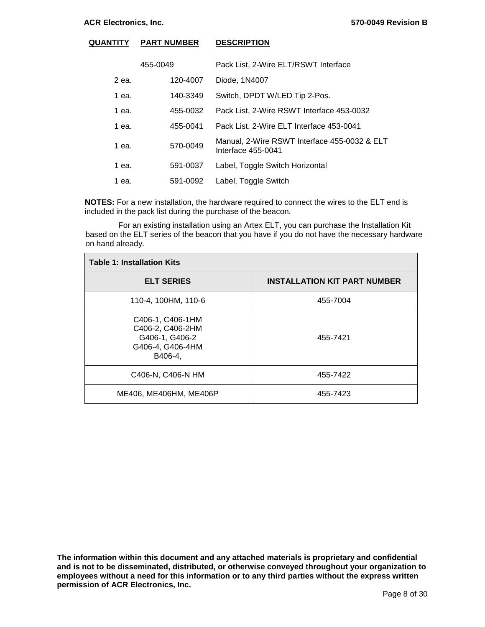#### **QUANTITY PART NUMBER DESCRIPTION**

| 455-0049 |          | Pack List, 2-Wire ELT/RSWT Interface                               |  |
|----------|----------|--------------------------------------------------------------------|--|
| 2 ea.    | 120-4007 | Diode, 1N4007                                                      |  |
| 1 ea.    | 140-3349 | Switch, DPDT W/LED Tip 2-Pos.                                      |  |
| 1 ea.    | 455-0032 | Pack List, 2-Wire RSWT Interface 453-0032                          |  |
| 1 ea.    | 455-0041 | Pack List, 2-Wire ELT Interface 453-0041                           |  |
| 1 ea.    | 570-0049 | Manual, 2-Wire RSWT Interface 455-0032 & ELT<br>Interface 455-0041 |  |
| 1 ea.    | 591-0037 | Label, Toggle Switch Horizontal                                    |  |
| 1 ea.    | 591-0092 | Label, Toggle Switch                                               |  |

**NOTES:** For a new installation, the hardware required to connect the wires to the ELT end is included in the pack list during the purchase of the beacon.

 For an existing installation using an Artex ELT, you can purchase the Installation Kit based on the ELT series of the beacon that you have if you do not have the necessary hardware on hand already.

| <b>Table 1: Installation Kits</b>                                                     |                                     |  |  |  |
|---------------------------------------------------------------------------------------|-------------------------------------|--|--|--|
| <b>ELT SERIES</b>                                                                     | <b>INSTALLATION KIT PART NUMBER</b> |  |  |  |
| 110-4, 100HM, 110-6                                                                   | 455-7004                            |  |  |  |
| C406-1, C406-1HM<br>C406-2, C406-2HM<br>G406-1, G406-2<br>G406-4, G406-4HM<br>B406-4, | 455-7421                            |  |  |  |
| C406-N, C406-N HM                                                                     | 455-7422                            |  |  |  |
| ME406, ME406HM, ME406P                                                                | 455-7423                            |  |  |  |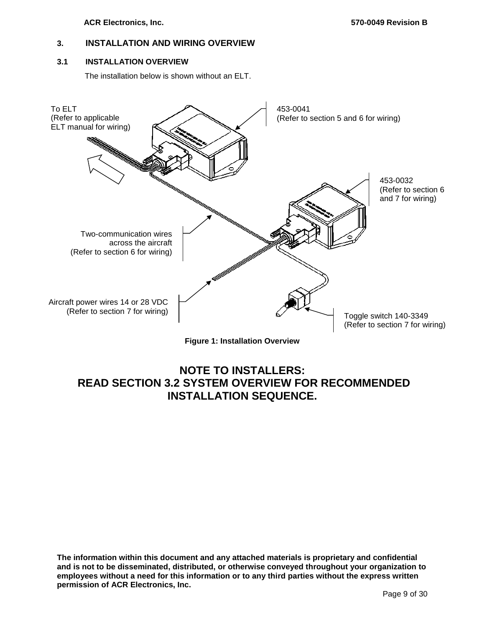## <span id="page-8-0"></span>**3. INSTALLATION AND WIRING OVERVIEW**

#### <span id="page-8-1"></span>**3.1 INSTALLATION OVERVIEW**

The installation below is shown without an ELT.



**Figure 1: Installation Overview**

## <span id="page-8-2"></span>**NOTE TO INSTALLERS: READ SECTION 3.2 SYSTEM OVERVIEW FOR RECOMMENDED INSTALLATION SEQUENCE.**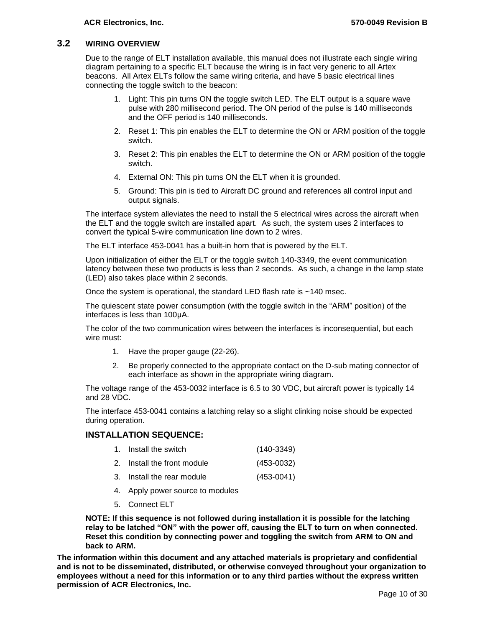### <span id="page-9-0"></span>**3.2 WIRING OVERVIEW**

Due to the range of ELT installation available, this manual does not illustrate each single wiring diagram pertaining to a specific ELT because the wiring is in fact very generic to all Artex beacons. All Artex ELTs follow the same wiring criteria, and have 5 basic electrical lines connecting the toggle switch to the beacon:

- 1. Light: This pin turns ON the toggle switch LED. The ELT output is a square wave pulse with 280 millisecond period. The ON period of the pulse is 140 milliseconds and the OFF period is 140 milliseconds.
- 2. Reset 1: This pin enables the ELT to determine the ON or ARM position of the toggle switch.
- 3. Reset 2: This pin enables the ELT to determine the ON or ARM position of the toggle switch.
- 4. External ON: This pin turns ON the ELT when it is grounded.
- 5. Ground: This pin is tied to Aircraft DC ground and references all control input and output signals.

The interface system alleviates the need to install the 5 electrical wires across the aircraft when the ELT and the toggle switch are installed apart. As such, the system uses 2 interfaces to convert the typical 5-wire communication line down to 2 wires.

The ELT interface 453-0041 has a built-in horn that is powered by the ELT.

Upon initialization of either the ELT or the toggle switch 140-3349, the event communication latency between these two products is less than 2 seconds. As such, a change in the lamp state (LED) also takes place within 2 seconds.

Once the system is operational, the standard LED flash rate is ~140 msec.

The quiescent state power consumption (with the toggle switch in the "ARM" position) of the interfaces is less than 100μA.

The color of the two communication wires between the interfaces is inconsequential, but each wire must:

- 1. Have the proper gauge (22-26).
- 2. Be properly connected to the appropriate contact on the D-sub mating connector of each interface as shown in the appropriate wiring diagram.

The voltage range of the 453-0032 interface is 6.5 to 30 VDC, but aircraft power is typically 14 and 28 VDC.

The interface 453-0041 contains a latching relay so a slight clinking noise should be expected during operation.

#### **INSTALLATION SEQUENCE:**

| 1. Install the switch       | $(140-3349)$   |
|-----------------------------|----------------|
| 2. Install the front module | $(453 - 0032)$ |
| 3. Install the rear module  | $(453 - 0041)$ |

- 4. Apply power source to modules
- 5. Connect ELT

**NOTE: If this sequence is not followed during installation it is possible for the latching relay to be latched "ON" with the power off, causing the ELT to turn on when connected. Reset this condition by connecting power and toggling the switch from ARM to ON and back to ARM.**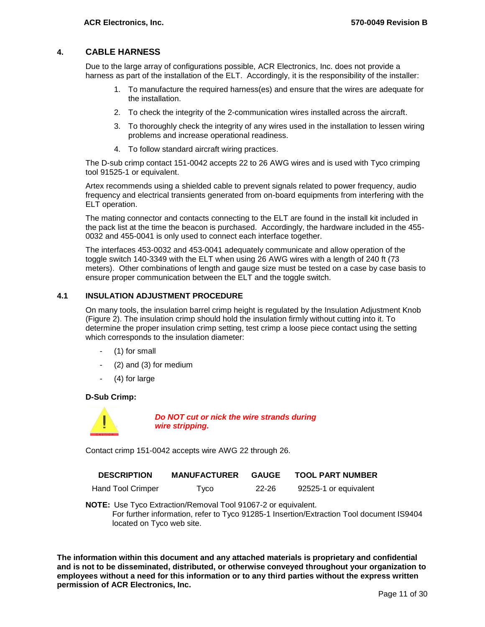### <span id="page-10-0"></span>**4. CABLE HARNESS**

Due to the large array of configurations possible, ACR Electronics, Inc. does not provide a harness as part of the installation of the ELT. Accordingly, it is the responsibility of the installer:

- 1. To manufacture the required harness(es) and ensure that the wires are adequate for the installation.
- 2. To check the integrity of the 2-communication wires installed across the aircraft.
- 3. To thoroughly check the integrity of any wires used in the installation to lessen wiring problems and increase operational readiness.
- 4. To follow standard aircraft wiring practices.

The D-sub crimp contact 151-0042 accepts 22 to 26 AWG wires and is used with Tyco crimping tool 91525-1 or equivalent.

Artex recommends using a shielded cable to prevent signals related to power frequency, audio frequency and electrical transients generated from on-board equipments from interfering with the ELT operation.

The mating connector and contacts connecting to the ELT are found in the install kit included in the pack list at the time the beacon is purchased. Accordingly, the hardware included in the 455- 0032 and 455-0041 is only used to connect each interface together.

The interfaces 453-0032 and 453-0041 adequately communicate and allow operation of the toggle switch 140-3349 with the ELT when using 26 AWG wires with a length of 240 ft (73 meters). Other combinations of length and gauge size must be tested on a case by case basis to ensure proper communication between the ELT and the toggle switch.

#### <span id="page-10-1"></span>**4.1 INSULATION ADJUSTMENT PROCEDURE**

On many tools, the insulation barrel crimp height is regulated by the Insulation Adjustment Knob [\(Figure 2\)](#page-12-0). The insulation crimp should hold the insulation firmly without cutting into it. To determine the proper insulation crimp setting, test crimp a loose piece contact using the setting which corresponds to the insulation diameter:

- (1) for small
- (2) and (3) for medium
- (4) for large

#### **D-Sub Crimp:**



*Do NOT cut or nick the wire strands during wire stripping.*

Contact crimp 151-0042 accepts wire AWG 22 through 26.

| <b>DESCRIPTION</b> | <b>MANUFACTURER GAUGE</b> |          | <b>TOOL PART NUMBER</b> |  |
|--------------------|---------------------------|----------|-------------------------|--|
|                    |                           | $\cdots$ | $\cdots$                |  |

Hand Tool Crimper Tyco 22-26 92525-1 or equivalent

**NOTE:** Use Tyco Extraction/Removal Tool 91067-2 or equivalent. For further information, refer to Tyco 91285-1 Insertion/Extraction Tool document IS9404 located on Tyco web site.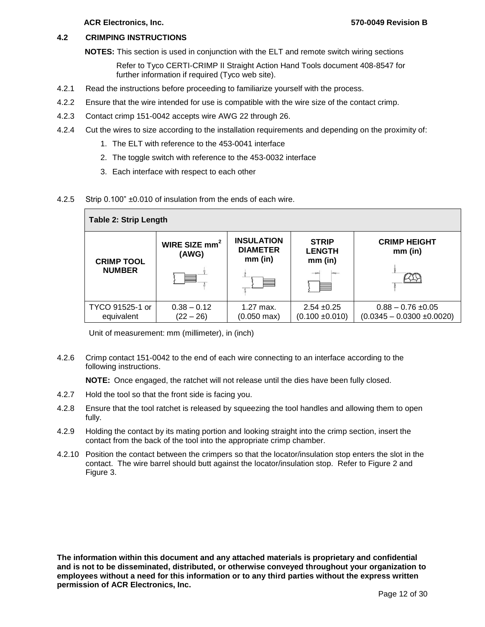#### <span id="page-11-0"></span>**4.2 CRIMPING INSTRUCTIONS**

**NOTES:** This section is used in conjunction with the ELT and remote switch wiring sections

Refer to Tyco CERTI-CRIMP II Straight Action Hand Tools document 408-8547 for further information if required (Tyco web site).

- 4.2.1 Read the instructions before proceeding to familiarize yourself with the process.
- 4.2.2 Ensure that the wire intended for use is compatible with the wire size of the contact crimp.
- 4.2.3 Contact crimp 151-0042 accepts wire AWG 22 through 26.
- 4.2.4 Cut the wires to size according to the installation requirements and depending on the proximity of:
	- 1. The ELT with reference to the 453-0041 interface
	- 2. The toggle switch with reference to the 453-0032 interface
	- 3. Each interface with respect to each other
- 4.2.5 Strip 0.100" ±0.010 of insulation from the ends of each wire.

| <b>Table 2: Strip Length</b>       |                              |                                                   |                                            |                                                          |  |  |
|------------------------------------|------------------------------|---------------------------------------------------|--------------------------------------------|----------------------------------------------------------|--|--|
| <b>CRIMP TOOL</b><br><b>NUMBER</b> | WIRE SIZE $mm2$<br>(AWG)     | <b>INSULATION</b><br><b>DIAMETER</b><br>$mm$ (in) | <b>STRIP</b><br><b>LENGTH</b><br>$mm$ (in) | <b>CRIMP HEIGHT</b><br>$mm$ (in)                         |  |  |
|                                    |                              |                                                   |                                            |                                                          |  |  |
| TYCO 91525-1 or<br>equivalent      | $0.38 - 0.12$<br>$(22 - 26)$ | 1.27 max.<br>$(0.050 \text{ max})$                | $2.54 + 0.25$<br>$(0.100 \pm 0.010)$       | $0.88 - 0.76 \pm 0.05$<br>$(0.0345 - 0.0300 \pm 0.0020)$ |  |  |

Unit of measurement: mm (millimeter), in (inch)

4.2.6 Crimp contact 151-0042 to the end of each wire connecting to an interface according to the following instructions.

**NOTE:** Once engaged, the ratchet will not release until the dies have been fully closed.

- 4.2.7 Hold the tool so that the front side is facing you.
- 4.2.8 Ensure that the tool ratchet is released by squeezing the tool handles and allowing them to open fully.
- 4.2.9 Holding the contact by its mating portion and looking straight into the crimp section, insert the contact from the back of the tool into the appropriate crimp chamber.
- 4.2.10 Position the contact between the crimpers so that the locator/insulation stop enters the slot in the contact. The wire barrel should butt against the locator/insulation stop. Refer to [Figure 2](#page-12-0) and [Figure 3.](#page-12-1)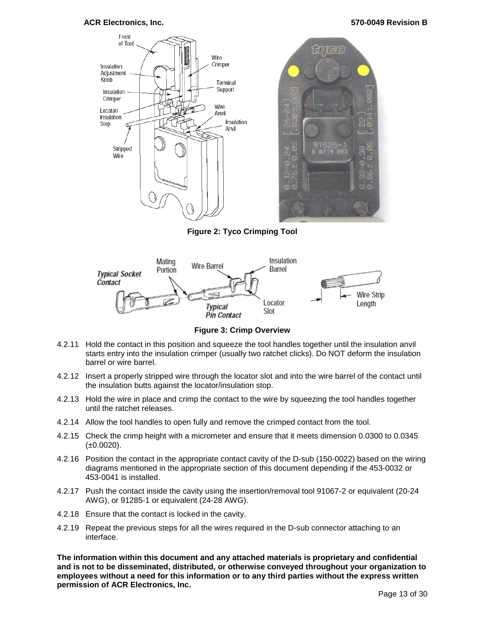

**Figure 2: Tyco Crimping Tool**

<span id="page-12-0"></span>

**Figure 3: Crimp Overview**

- <span id="page-12-1"></span>4.2.11 Hold the contact in this position and squeeze the tool handles together until the insulation anvil starts entry into the insulation crimper (usually two ratchet clicks). Do NOT deform the insulation barrel or wire barrel.
- 4.2.12 Insert a properly stripped wire through the locator slot and into the wire barrel of the contact until the insulation butts against the locator/insulation stop.
- 4.2.13 Hold the wire in place and crimp the contact to the wire by squeezing the tool handles together until the ratchet releases.
- 4.2.14 Allow the tool handles to open fully and remove the crimped contact from the tool.
- 4.2.15 Check the crimp height with a micrometer and ensure that it meets dimension 0.0300 to 0.0345  $(\pm 0.0020)$ .
- 4.2.16 Position the contact in the appropriate contact cavity of the D-sub (150-0022) based on the wiring diagrams mentioned in the appropriate section of this document depending if the 453-0032 or 453-0041 is installed.
- 4.2.17 Push the contact inside the cavity using the insertion/removal tool 91067-2 or equivalent (20-24 AWG), or 91285-1 or equivalent (24-28 AWG).
- 4.2.18 Ensure that the contact is locked in the cavity.
- 4.2.19 Repeat the previous steps for all the wires required in the D-sub connector attaching to an interface.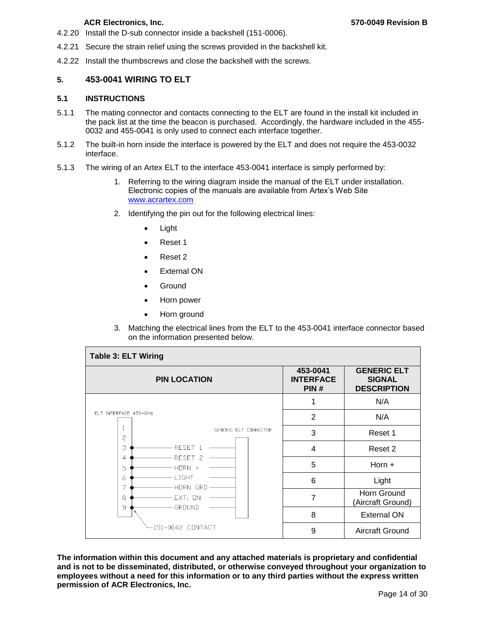- 4.2.20 Install the D-sub connector inside a backshell (151-0006).
- 4.2.21 Secure the strain relief using the screws provided in the backshell kit.
- <span id="page-13-0"></span>4.2.22 Install the thumbscrews and close the backshell with the screws.

#### **5. 453-0041 WIRING TO ELT**

#### <span id="page-13-1"></span>**5.1 INSTRUCTIONS**

- 5.1.1 The mating connector and contacts connecting to the ELT are found in the install kit included in the pack list at the time the beacon is purchased. Accordingly, the hardware included in the 455- 0032 and 455-0041 is only used to connect each interface together.
- 5.1.2 The built-in horn inside the interface is powered by the ELT and does not require the 453-0032 interface.
- 5.1.3 The wiring of an Artex ELT to the interface 453-0041 interface is simply performed by:
	- 1. Referring to the wiring diagram inside the manual of the ELT under installation. Electronic copies of the manuals are available from Artex's Web Site [www.acrartex.com](http://www.acrartex.com/)
	- 2. Identifying the pin out for the following electrical lines:
		- Light
		- Reset 1
		- Reset 2
		- External ON
		- Ground
		- Horn power
		- Horn ground
	- 3. Matching the electrical lines from the ELT to the 453-0041 interface connector based on the information presented below.

| <b>Table 3: ELT Wiring</b>               |                                      |                                                           |  |  |
|------------------------------------------|--------------------------------------|-----------------------------------------------------------|--|--|
| <b>PIN LOCATION</b>                      | 453-0041<br><b>INTERFACE</b><br>PIN# | <b>GENERIC ELT</b><br><b>SIGNAL</b><br><b>DESCRIPTION</b> |  |  |
|                                          |                                      | N/A                                                       |  |  |
| ELT INTERFACE 453-0041                   | $\overline{2}$                       | N/A                                                       |  |  |
| GENERIC ELT CONNECTOR<br>2               | 3                                    | Reset 1                                                   |  |  |
| З<br>RESET 1                             | $\overline{\mathbf{4}}$              | Reset 2                                                   |  |  |
| RESET <sub>2</sub><br>4<br>$HDRN +$<br>5 | 5                                    | Horn $+$                                                  |  |  |
| LIGHT<br>6<br>7<br>-HORN GRD             | 6                                    | Light                                                     |  |  |
| 8<br>FXT.<br><b>TIN</b><br>GROUND<br>9   | 7                                    | Horn Ground<br>(Aircraft Ground)                          |  |  |
|                                          | 8                                    | <b>External ON</b>                                        |  |  |
| 151-0042 CONTACT                         | 9                                    | <b>Aircraft Ground</b>                                    |  |  |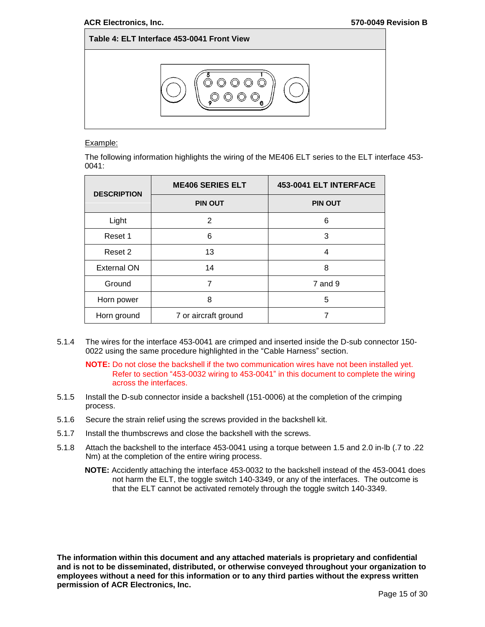

#### Example:

The following information highlights the wiring of the ME406 ELT series to the ELT interface 453- 0041:

| <b>DESCRIPTION</b> | <b>ME406 SERIES ELT</b> | 453-0041 ELT INTERFACE |  |
|--------------------|-------------------------|------------------------|--|
|                    | <b>PIN OUT</b>          | <b>PIN OUT</b>         |  |
| Light              | 2                       | 6                      |  |
| Reset 1            | 6                       | 3                      |  |
| Reset 2            | 13                      | 4                      |  |
| External ON        | 14                      | 8                      |  |
| Ground             | 7                       | 7 and 9                |  |
| Horn power         | 8                       | 5                      |  |
| Horn ground        | 7 or aircraft ground    |                        |  |

5.1.4 The wires for the interface 453-0041 are crimped and inserted inside the D-sub connector 150- 0022 using the same procedure highlighted in the ["Cable Harness"](#page-10-0) section.

**NOTE:** Do not close the backshell if the two communication wires have not been installed yet. Refer to section ["453-0032 wiring to 453-0041"](#page-15-0) in this document to complete the wiring across the interfaces.

- 5.1.5 Install the D-sub connector inside a backshell (151-0006) at the completion of the crimping process.
- 5.1.6 Secure the strain relief using the screws provided in the backshell kit.
- 5.1.7 Install the thumbscrews and close the backshell with the screws.
- 5.1.8 Attach the backshell to the interface 453-0041 using a torque between 1.5 and 2.0 in-lb (.7 to .22 Nm) at the completion of the entire wiring process.
	- **NOTE:** Accidently attaching the interface 453-0032 to the backshell instead of the 453-0041 does not harm the ELT, the toggle switch 140-3349, or any of the interfaces. The outcome is that the ELT cannot be activated remotely through the toggle switch 140-3349.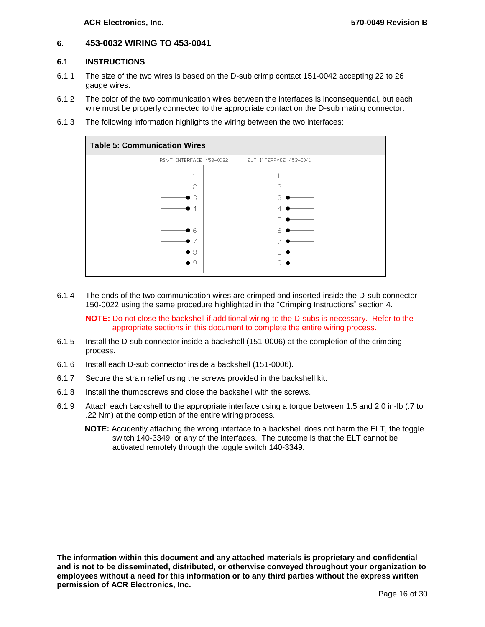#### <span id="page-15-0"></span>**6. 453-0032 WIRING TO 453-0041**

#### <span id="page-15-1"></span>**6.1 INSTRUCTIONS**

- 6.1.1 The size of the two wires is based on the D-sub crimp contact 151-0042 accepting 22 to 26 gauge wires.
- 6.1.2 The color of the two communication wires between the interfaces is inconsequential, but each wire must be properly connected to the appropriate contact on the D-sub mating connector.
- 6.1.3 The following information highlights the wiring between the two interfaces:



6.1.4 The ends of the two communication wires are crimped and inserted inside the D-sub connector 150-0022 using the same procedure highlighted in the "Crimping Instructions" section [4.](#page-10-0)

**NOTE:** Do not close the backshell if additional wiring to the D-subs is necessary. Refer to the appropriate sections in this document to complete the entire wiring process.

- 6.1.5 Install the D-sub connector inside a backshell (151-0006) at the completion of the crimping process.
- 6.1.6 Install each D-sub connector inside a backshell (151-0006).
- 6.1.7 Secure the strain relief using the screws provided in the backshell kit.
- 6.1.8 Install the thumbscrews and close the backshell with the screws.
- 6.1.9 Attach each backshell to the appropriate interface using a torque between 1.5 and 2.0 in-lb (.7 to .22 Nm) at the completion of the entire wiring process.
	- **NOTE:** Accidently attaching the wrong interface to a backshell does not harm the ELT, the toggle switch 140-3349, or any of the interfaces. The outcome is that the ELT cannot be activated remotely through the toggle switch 140-3349.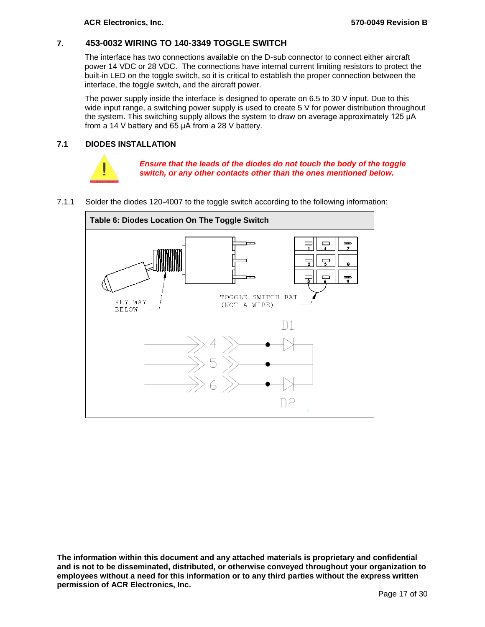## <span id="page-16-0"></span>**7. 453-0032 WIRING TO 140-3349 TOGGLE SWITCH**

The interface has two connections available on the D-sub connector to connect either aircraft power 14 VDC or 28 VDC. The connections have internal current limiting resistors to protect the built-in LED on the toggle switch, so it is critical to establish the proper connection between the interface, the toggle switch, and the aircraft power.

The power supply inside the interface is designed to operate on 6.5 to 30 V input. Due to this wide input range, a switching power supply is used to create 5 V for power distribution throughout the system. This switching supply allows the system to draw on average approximately 125 μA from a 14 V battery and 65 μA from a 28 V battery.

#### <span id="page-16-1"></span>**7.1 DIODES INSTALLATION**



*Ensure that the leads of the diodes do not touch the body of the toggle switch, or any other contacts other than the ones mentioned below.*

7.1.1 Solder the diodes 120-4007 to the toggle switch according to the following information:

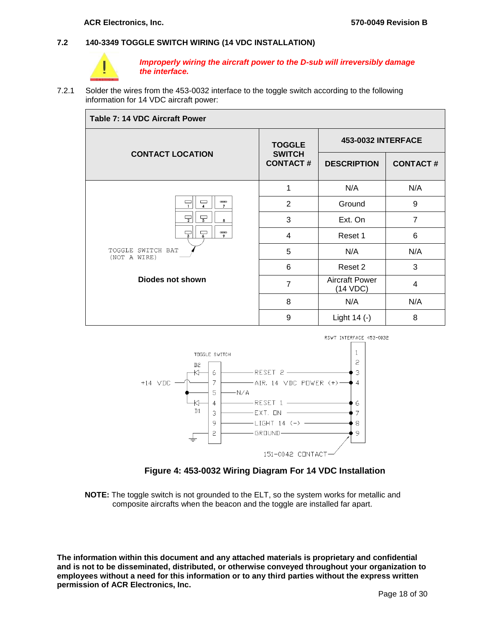#### <span id="page-17-0"></span>**7.2 140-3349 TOGGLE SWITCH WIRING (14 VDC INSTALLATION)**



*Improperly wiring the aircraft power to the D-sub will irreversibly damage the interface.*

7.2.1 Solder the wires from the 453-0032 interface to the toggle switch according to the following information for 14 VDC aircraft power:

| Table 7: 14 VDC Aircraft Power            |                                                   |                                   |                 |
|-------------------------------------------|---------------------------------------------------|-----------------------------------|-----------------|
|                                           | <b>TOGGLE</b><br><b>SWITCH</b><br><b>CONTACT#</b> | <b>453-0032 INTERFACE</b>         |                 |
| <b>CONTACT LOCATION</b>                   |                                                   | <b>DESCRIPTION</b>                | <b>CONTACT#</b> |
|                                           | 1                                                 | N/A                               | N/A             |
| $\frac{1}{2}$<br>$\Box$<br>$\overline{7}$ | 2                                                 | Ground                            | 9               |
| $\overline{2}$<br>8                       | 3                                                 | Ext. On                           | $\overline{7}$  |
| $_{\rm mmn}$<br>긓<br>7<br>9               | 4                                                 | Reset 1                           | 6               |
| TOGGLE SWITCH BAT<br>(NOT A WIRE)         | 5                                                 | N/A                               | N/A             |
|                                           | 6                                                 | Reset 2                           | 3               |
| Diodes not shown                          | $\overline{7}$                                    | <b>Aircraft Power</b><br>(14 VDC) | 4               |
|                                           | 8                                                 | N/A                               | N/A             |
|                                           | 9                                                 | Light $14$ (-)                    | 8               |





<span id="page-17-1"></span>**NOTE:** The toggle switch is not grounded to the ELT, so the system works for metallic and composite aircrafts when the beacon and the toggle are installed far apart.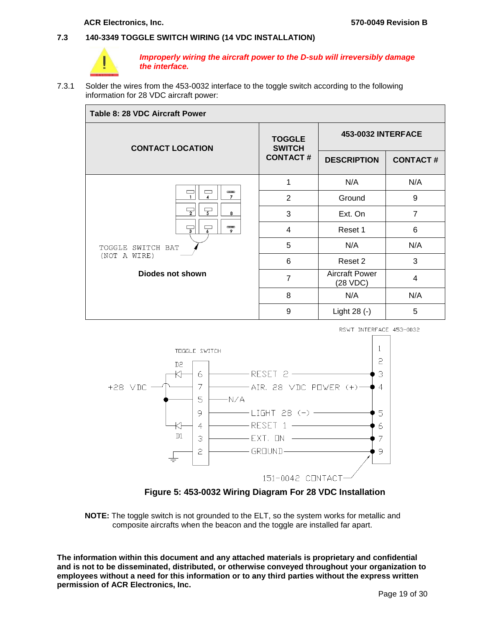#### <span id="page-18-0"></span>**7.3 140-3349 TOGGLE SWITCH WIRING (14 VDC INSTALLATION)**



*Improperly wiring the aircraft power to the D-sub will irreversibly damage the interface.*

7.3.1 Solder the wires from the 453-0032 interface to the toggle switch according to the following information for 28 VDC aircraft power:

| Table 8: 28 VDC Aircraft Power                                                                                     |                                                   |                                   |                 |  |
|--------------------------------------------------------------------------------------------------------------------|---------------------------------------------------|-----------------------------------|-----------------|--|
| <b>CONTACT LOCATION</b>                                                                                            | <b>TOGGLE</b><br><b>SWITCH</b><br><b>CONTACT#</b> | <b>453-0032 INTERFACE</b>         |                 |  |
|                                                                                                                    |                                                   | <b>DESCRIPTION</b>                | <b>CONTACT#</b> |  |
|                                                                                                                    | 1                                                 | N/A                               | N/A             |  |
| $m_{\rm m}$<br>$\overline{7}$<br>$\frac{1}{2}$<br>8<br>$\overline{1}$<br>$\overline{\overline{\overline{3}}}$<br>9 | 2                                                 | Ground                            | 9               |  |
|                                                                                                                    | 3                                                 | Ext. On                           | $\overline{7}$  |  |
|                                                                                                                    | 4                                                 | Reset 1                           | 6               |  |
| TOGGLE SWITCH BAT                                                                                                  | 5                                                 | N/A                               | N/A             |  |
| (NOT A WIRE)                                                                                                       | 6                                                 | Reset 2                           | 3               |  |
| Diodes not shown                                                                                                   | 7                                                 | <b>Aircraft Power</b><br>(28 VDC) | 4               |  |
|                                                                                                                    | 8                                                 | N/A                               | N/A             |  |
|                                                                                                                    | 9                                                 | Light 28 (-)                      | 5               |  |



**Figure 5: 453-0032 Wiring Diagram For 28 VDC Installation**

<span id="page-18-1"></span>**NOTE:** The toggle switch is not grounded to the ELT, so the system works for metallic and composite aircrafts when the beacon and the toggle are installed far apart.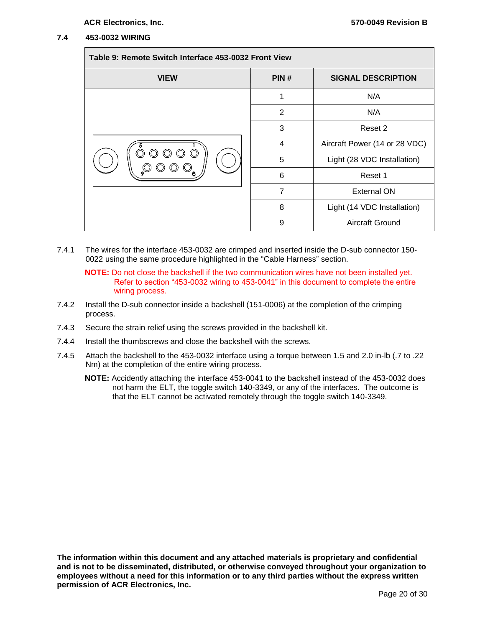#### <span id="page-19-0"></span>**7.4 453-0032 WIRING**

| Table 9: Remote Switch Interface 453-0032 Front View |      |                               |  |
|------------------------------------------------------|------|-------------------------------|--|
| <b>VIEW</b>                                          | PIN# | <b>SIGNAL DESCRIPTION</b>     |  |
|                                                      | 1    | N/A                           |  |
|                                                      | 2    | N/A                           |  |
|                                                      | 3    | Reset 2                       |  |
|                                                      | 4    | Aircraft Power (14 or 28 VDC) |  |
| $\circled{\scriptstyle\circ}$                        | 5    | Light (28 VDC Installation)   |  |
|                                                      | 6    | Reset 1                       |  |
|                                                      | 7    | <b>External ON</b>            |  |
|                                                      | 8    | Light (14 VDC Installation)   |  |
|                                                      | 9    | Aircraft Ground               |  |

7.4.1 The wires for the interface 453-0032 are crimped and inserted inside the D-sub connector 150- 0022 using the same procedure highlighted in the ["Cable Harness"](#page-10-0) section.

**NOTE:** Do not close the backshell if the two communication wires have not been installed yet. Refer to section ["453-0032 wiring to 453-0041"](#page-15-0) in this document to complete the entire wiring process.

- 7.4.2 Install the D-sub connector inside a backshell (151-0006) at the completion of the crimping process.
- 7.4.3 Secure the strain relief using the screws provided in the backshell kit.
- 7.4.4 Install the thumbscrews and close the backshell with the screws.
- 7.4.5 Attach the backshell to the 453-0032 interface using a torque between 1.5 and 2.0 in-lb (.7 to .22 Nm) at the completion of the entire wiring process.
	- **NOTE:** Accidently attaching the interface 453-0041 to the backshell instead of the 453-0032 does not harm the ELT, the toggle switch 140-3349, or any of the interfaces. The outcome is that the ELT cannot be activated remotely through the toggle switch 140-3349.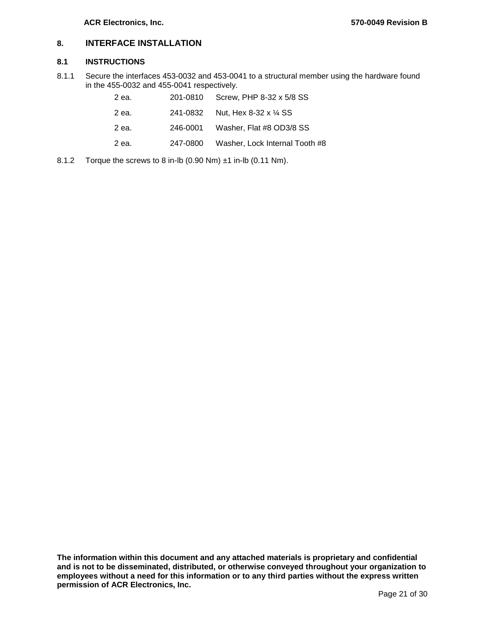## <span id="page-20-0"></span>**8. INTERFACE INSTALLATION**

#### <span id="page-20-1"></span>**8.1 INSTRUCTIONS**

8.1.1 Secure the interfaces 453-0032 and 453-0041 to a structural member using the hardware found in the 455-0032 and 455-0041 respectively.

| 2 ea. | 201-0810 Screw, PHP 8-32 x 5/8 SS       |
|-------|-----------------------------------------|
| 2 ea. | 241-0832 Nut. Hex 8-32 x 1/4 SS         |
| 2 ea. | 246-0001 Washer, Flat #8 OD3/8 SS       |
| 2 ea. | 247-0800 Washer, Lock Internal Tooth #8 |

8.1.2 Torque the screws to 8 in-lb (0.90 Nm) ±1 in-lb (0.11 Nm).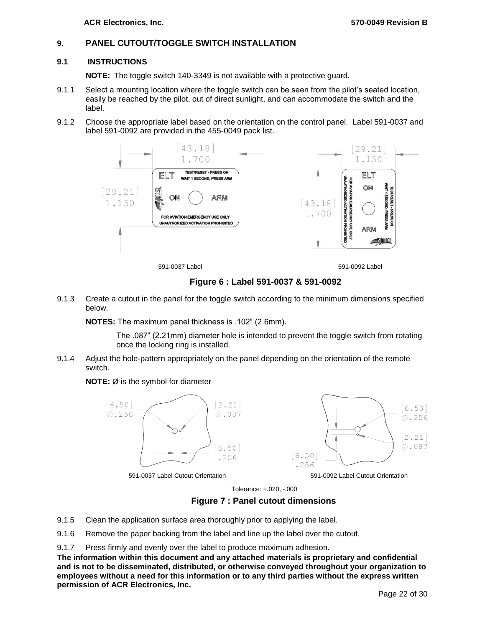## <span id="page-21-0"></span>**9. PANEL CUTOUT/TOGGLE SWITCH INSTALLATION**

#### **9.1 INSTRUCTIONS**

<span id="page-21-1"></span>**NOTE:** The toggle switch 140-3349 is not available with a protective guard.

- 9.1.1 Select a mounting location where the toggle switch can be seen from the pilot's seated location, easily be reached by the pilot, out of direct sunlight, and can accommodate the switch and the label.
- 9.1.2 Choose the appropriate label based on the orientation on the control panel. Label 591-0037 and label 591-0092 are provided in the 455-0049 pack list.



591-0037 Label 591-0092 Label

#### **Figure 6 : Label 591-0037 & 591-0092**

<span id="page-21-2"></span>9.1.3 Create a cutout in the panel for the toggle switch according to the minimum dimensions specified below.

**NOTES:** The maximum panel thickness is .102" (2.6mm).

The .087" (2.21mm) diameter hole is intended to prevent the toggle switch from rotating once the locking ring is installed.

9.1.4 Adjust the hole-pattern appropriately on the panel depending on the orientation of the remote switch.

#### **NOTE:** Ø is the symbol for diameter



591-0037 Label Cutout Orientation 591-0092 Label Cutout Orientation

Tolerance: +.020, -.000

**Figure 7 : Panel cutout dimensions**

- <span id="page-21-3"></span>9.1.5 Clean the application surface area thoroughly prior to applying the label.
- 9.1.6 Remove the paper backing from the label and line up the label over the cutout.
- 9.1.7 Press firmly and evenly over the label to produce maximum adhesion.

**The information within this document and any attached materials is proprietary and confidential and is not to be disseminated, distributed, or otherwise conveyed throughout your organization to employees without a need for this information or to any third parties without the express written permission of ACR Electronics, Inc.**

 $[6.50]$ 

 $\phi$ .256

 $|2.21|$  $\phi$ .087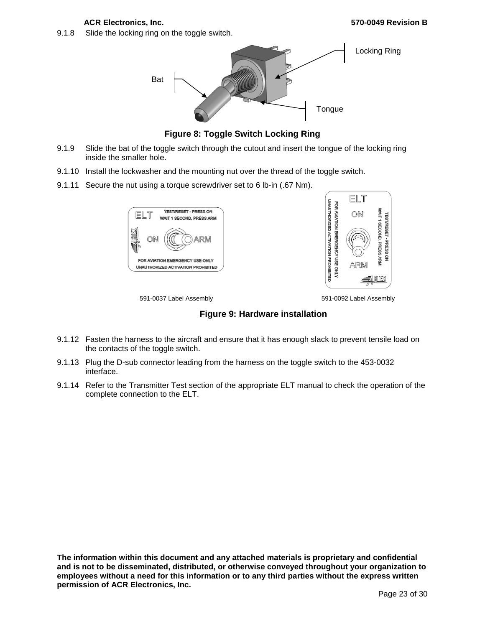9.1.8 Slide the locking ring on the toggle switch.



**Figure 8: Toggle Switch Locking Ring**

- <span id="page-22-0"></span>9.1.9 Slide the bat of the toggle switch through the cutout and insert the tongue of the locking ring inside the smaller hole.
- 9.1.10 Install the lockwasher and the mounting nut over the thread of the toggle switch.
- 9.1.11 Secure the nut using a torque screwdriver set to 6 lb-in (.67 Nm).





591-0037 Label Assembly 591-0092 Label Assembly

**Figure 9: Hardware installation**

- <span id="page-22-1"></span>9.1.12 Fasten the harness to the aircraft and ensure that it has enough slack to prevent tensile load on the contacts of the toggle switch.
- 9.1.13 Plug the D-sub connector leading from the harness on the toggle switch to the 453-0032 interface.
- 9.1.14 Refer to the Transmitter Test section of the appropriate ELT manual to check the operation of the complete connection to the ELT.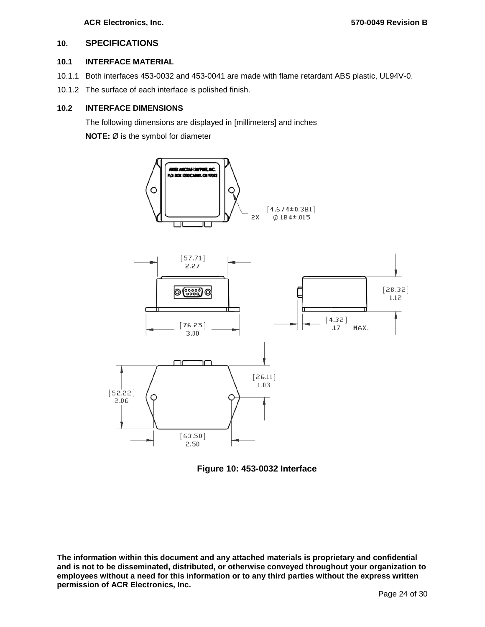#### <span id="page-23-0"></span>**10. SPECIFICATIONS**

#### <span id="page-23-1"></span>**10.1 INTERFACE MATERIAL**

- 10.1.1 Both interfaces 453-0032 and 453-0041 are made with flame retardant ABS plastic, UL94V-0.
- 10.1.2 The surface of each interface is polished finish.

#### <span id="page-23-2"></span>**10.2 INTERFACE DIMENSIONS**

The following dimensions are displayed in [millimeters] and inches

**NOTE:** Ø is the symbol for diameter



<span id="page-23-3"></span>**Figure 10: 453-0032 Interface**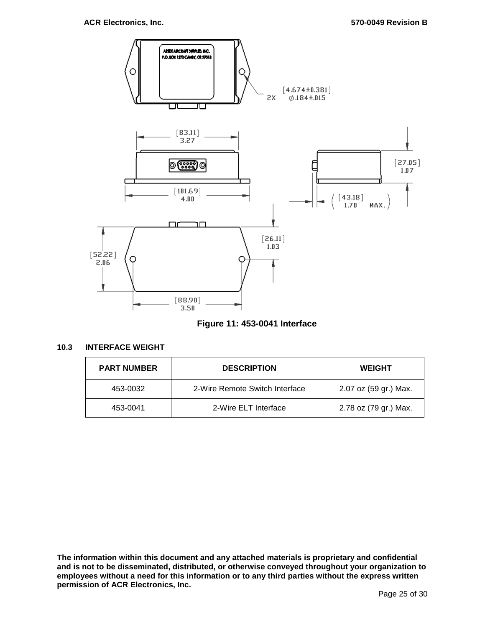

### **Figure 11: 453-0041 Interface**

#### <span id="page-24-1"></span><span id="page-24-0"></span>**10.3 INTERFACE WEIGHT**

| <b>PART NUMBER</b> | <b>DESCRIPTION</b>             | <b>WEIGHT</b>         |
|--------------------|--------------------------------|-----------------------|
| 453-0032           | 2-Wire Remote Switch Interface | 2.07 oz (59 gr.) Max. |
| 453-0041           | 2-Wire ELT Interface           | 2.78 oz (79 gr.) Max. |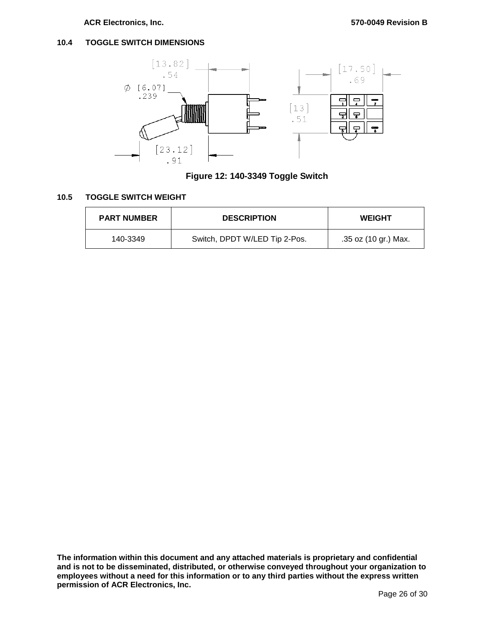#### <span id="page-25-0"></span>**10.4 TOGGLE SWITCH DIMENSIONS**



**Figure 12: 140-3349 Toggle Switch**

#### <span id="page-25-2"></span><span id="page-25-1"></span>**10.5 TOGGLE SWITCH WEIGHT**

| <b>PART NUMBER</b> | <b>DESCRIPTION</b>            | <b>WEIGHT</b>        |
|--------------------|-------------------------------|----------------------|
| 140-3349           | Switch, DPDT W/LED Tip 2-Pos. | .35 oz (10 gr.) Max. |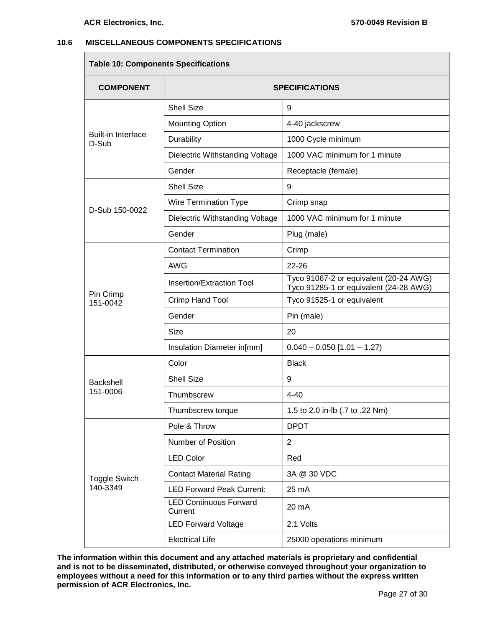#### <span id="page-26-0"></span>**10.6 MISCELLANEOUS COMPONENTS SPECIFICATIONS**

**Table 10: Components Specifications**

| rable to: Components opechications |                                          |                                                                                  |  |
|------------------------------------|------------------------------------------|----------------------------------------------------------------------------------|--|
| <b>COMPONENT</b>                   | <b>SPECIFICATIONS</b>                    |                                                                                  |  |
|                                    | <b>Shell Size</b>                        | 9                                                                                |  |
| <b>Built-in Interface</b><br>D-Sub | <b>Mounting Option</b>                   | 4-40 jackscrew                                                                   |  |
|                                    | Durability                               | 1000 Cycle minimum                                                               |  |
|                                    | Dielectric Withstanding Voltage          | 1000 VAC minimum for 1 minute                                                    |  |
|                                    | Gender                                   | Receptacle (female)                                                              |  |
|                                    | <b>Shell Size</b>                        | 9                                                                                |  |
| D-Sub 150-0022                     | Wire Termination Type                    | Crimp snap                                                                       |  |
|                                    | Dielectric Withstanding Voltage          | 1000 VAC minimum for 1 minute                                                    |  |
|                                    | Gender                                   | Plug (male)                                                                      |  |
|                                    | <b>Contact Termination</b>               | Crimp                                                                            |  |
|                                    | <b>AWG</b>                               | $22 - 26$                                                                        |  |
|                                    | Insertion/Extraction Tool                | Tyco 91067-2 or equivalent (20-24 AWG)<br>Tyco 91285-1 or equivalent (24-28 AWG) |  |
| Pin Crimp<br>151-0042              | Crimp Hand Tool                          | Tyco 91525-1 or equivalent                                                       |  |
|                                    | Gender                                   | Pin (male)                                                                       |  |
|                                    | Size                                     | 20                                                                               |  |
|                                    | Insulation Diameter in[mm]               | $0.040 - 0.050$ [1.01 - 1.27)                                                    |  |
|                                    | Color                                    | <b>Black</b>                                                                     |  |
| <b>Backshell</b>                   | <b>Shell Size</b>                        | 9                                                                                |  |
| 151-0006                           | Thumbscrew                               | $4 - 40$                                                                         |  |
|                                    | Thumbscrew torque                        | 1.5 to 2.0 in-lb (.7 to .22 Nm)                                                  |  |
|                                    | Pole & Throw                             | <b>DPDT</b>                                                                      |  |
|                                    | <b>Number of Position</b>                | $\overline{2}$                                                                   |  |
| <b>Toggle Switch</b>               | <b>LED Color</b>                         | Red                                                                              |  |
|                                    | <b>Contact Material Rating</b>           | 3A @ 30 VDC                                                                      |  |
| 140-3349                           | <b>LED Forward Peak Current:</b>         | 25 mA                                                                            |  |
|                                    | <b>LED Continuous Forward</b><br>Current | 20 mA                                                                            |  |
|                                    | <b>LED Forward Voltage</b>               | 2.1 Volts                                                                        |  |
|                                    | <b>Electrical Life</b>                   | 25000 operations minimum                                                         |  |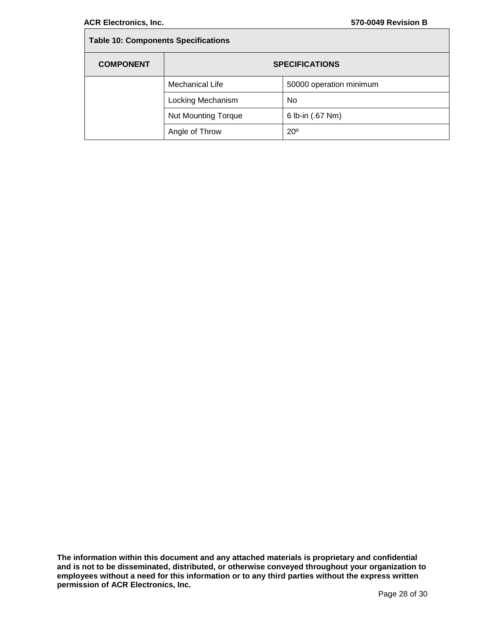Г

| <b>Table 10: Components Specifications</b> |                            |                         |  |
|--------------------------------------------|----------------------------|-------------------------|--|
| <b>COMPONENT</b>                           | <b>SPECIFICATIONS</b>      |                         |  |
|                                            | Mechanical Life            | 50000 operation minimum |  |
|                                            | Locking Mechanism          | No                      |  |
|                                            | <b>Nut Mounting Torque</b> | 6 lb-in (.67 Nm)        |  |
|                                            | Angle of Throw             | $20^\circ$              |  |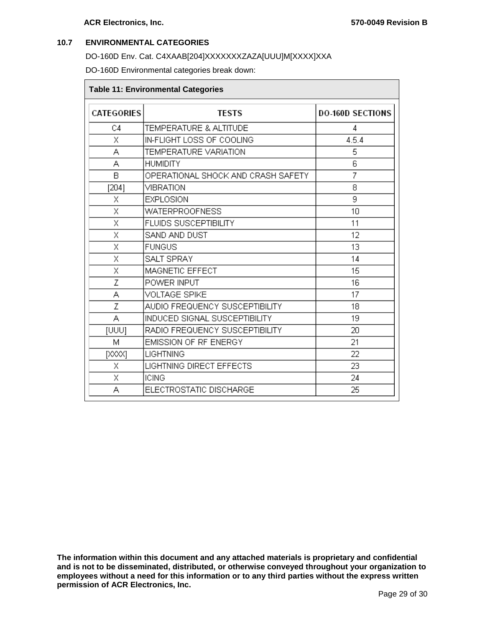#### <span id="page-28-0"></span>**10.7 ENVIRONMENTAL CATEGORIES**

DO-160D Env. Cat. C4XAAB[204]XXXXXXXZAZA[UUU]M[XXXX]XXA

DO-160D Environmental categories break down:

| <b>Table 11: Environmental Categories</b> |                                     |                         |  |
|-------------------------------------------|-------------------------------------|-------------------------|--|
| <b>CATEGORIES</b>                         | <b>TESTS</b>                        | <b>DO-160D SECTIONS</b> |  |
| C4                                        | TEMPERATURE & ALTITUDE              | 4                       |  |
| Χ                                         | IN-FLIGHT LOSS OF COOLING           | 4.5.4                   |  |
| А                                         | <b>TEMPERATURE VARIATION</b>        | 5                       |  |
| А                                         | <b>HUMIDITY</b>                     | 6                       |  |
| B                                         | OPERATIONAL SHOCK AND CRASH SAFETY. | 7                       |  |
| [204]                                     | <b>VIBRATION</b>                    | 8                       |  |
| Χ                                         | <b>EXPLOSION</b>                    | 9                       |  |
| X                                         | <b>WATERPROOFNESS</b>               | 10                      |  |
| Χ                                         | <b>FLUIDS SUSCEPTIBILITY</b>        | 11                      |  |
| Χ                                         | SAND AND DUST                       | 12                      |  |
| Χ                                         | <b>FUNGUS</b>                       | 13                      |  |
| X                                         | SALT SPRAY                          | 14                      |  |
| Χ                                         | MAGNETIC EFFECT                     | 15                      |  |
| Ζ                                         | POWER INPUT                         | 16                      |  |
| А                                         | <b>VOLTAGE SPIKE</b>                | 17                      |  |
| Z                                         | AUDIO FREQUENCY SUSCEPTIBILITY      | 18                      |  |
| Â                                         | INDUCED SIGNAL SUSCEPTIBILITY       | 19                      |  |
| [UUU]                                     | RADIO FREQUENCY SUSCEPTIBILITY      | 20                      |  |
| М                                         | <b>EMISSION OF RF ENERGY</b>        | 21                      |  |
| [XXX]                                     | <b>LIGHTNING</b>                    | 22                      |  |
| Χ                                         | LIGHTNING DIRECT EFFECTS            | 23                      |  |
| Χ                                         | <b>ICING</b>                        | 24                      |  |
| А                                         | ELECTROSTATIC DISCHARGE             | 25                      |  |